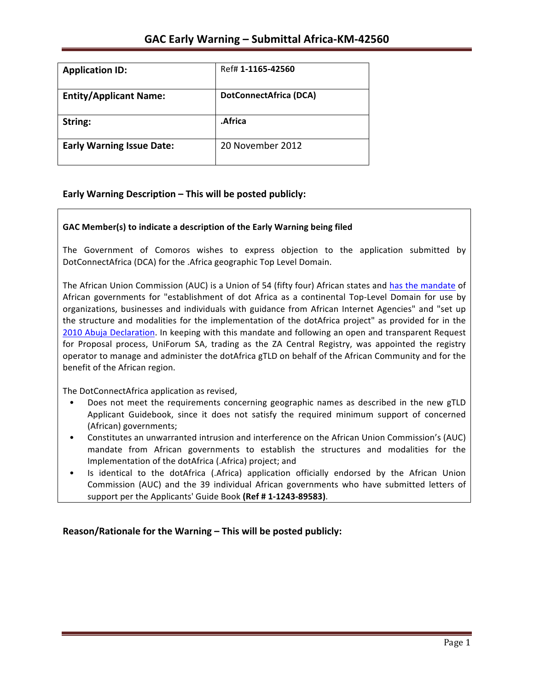| <b>Application ID:</b>           | Ref# 1-1165-42560             |
|----------------------------------|-------------------------------|
| <b>Entity/Applicant Name:</b>    | <b>DotConnectAfrica (DCA)</b> |
| String:                          | .Africa                       |
| <b>Early Warning Issue Date:</b> | 20 November 2012              |

### **Early Warning Description – This will be posted publicly:**

### GAC Member(s) to indicate a description of the Early Warning being filed

The Government of Comoros wishes to express objection to the application submitted by DotConnectAfrica (DCA) for the .Africa geographic Top Level Domain.

The African Union Commission (AUC) is a Union of 54 (fifty four) African states and has the mandate of African governments for "establishment of dot Africa as a continental Top-Level Domain for use by organizations, businesses and individuals with guidance from African Internet Agencies" and "set up the structure and modalities for the implementation of the dotAfrica project" as provided for in the 2010 Abuja Declaration. In keeping with this mandate and following an open and transparent Request for Proposal process, UniForum SA, trading as the ZA Central Registry, was appointed the registry operator to manage and administer the dotAfrica gTLD on behalf of the African Community and for the benefit of the African region.

The DotConnectAfrica application as revised,

- Does not meet the requirements concerning geographic names as described in the new gTLD Applicant Guidebook, since it does not satisfy the required minimum support of concerned (African) governments;
- Constitutes an unwarranted intrusion and interference on the African Union Commission's (AUC) mandate from African governments to establish the structures and modalities for the Implementation of the dotAfrica (.Africa) project; and
- Is identical to the dotAfrica (.Africa) application officially endorsed by the African Union Commission (AUC) and the 39 individual African governments who have submitted letters of support per the Applicants' Guide Book (Ref # 1-1243-89583).

**Reason/Rationale for the Warning – This will be posted publicly:**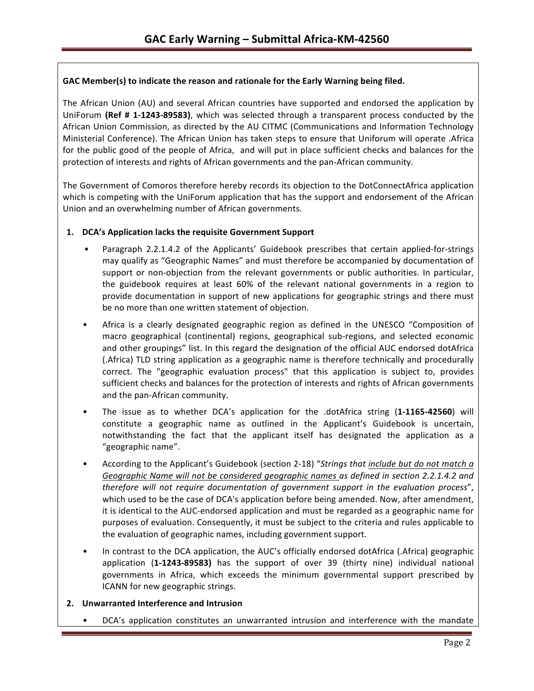### GAC Member(s) to indicate the reason and rationale for the Early Warning being filed.

The African Union (AU) and several African countries have supported and endorsed the application by UniForum (Ref # 1-1243-89583), which was selected through a transparent process conducted by the African Union Commission, as directed by the AU CITMC (Communications and Information Technology Ministerial Conference). The African Union has taken steps to ensure that Uniforum will operate .Africa for the public good of the people of Africa, and will put in place sufficient checks and balances for the protection of interests and rights of African governments and the pan-African community.

The Government of Comoros therefore hereby records its objection to the DotConnectAfrica application which is competing with the UniForum application that has the support and endorsement of the African Union and an overwhelming number of African governments.

### 1. **DCA's Application lacks the requisite Government Support**

- Paragraph 2.2.1.4.2 of the Applicants' Guidebook prescribes that certain applied-for-strings may qualify as "Geographic Names" and must therefore be accompanied by documentation of support or non-objection from the relevant governments or public authorities. In particular, the guidebook requires at least 60% of the relevant national governments in a region to provide documentation in support of new applications for geographic strings and there must be no more than one written statement of objection.
- Africa is a clearly designated geographic region as defined in the UNESCO "Composition of macro geographical (continental) regions, geographical sub-regions, and selected economic and other groupings" list. In this regard the designation of the official AUC endorsed dotAfrica (.Africa) TLD string application as a geographic name is therefore technically and procedurally correct. The "geographic evaluation process" that this application is subject to, provides sufficient checks and balances for the protection of interests and rights of African governments and the pan-African community.
- The issue as to whether DCA's application for the .dotAfrica string (1-1165-42560) will constitute a geographic name as outlined in the Applicant's Guidebook is uncertain, notwithstanding the fact that the applicant itself has designated the application as a "geographic name".
- According to the Applicant's Guidebook (section 2-18) "Strings that *include but do not match a* Geographic Name will not be considered geographic names as defined in section 2.2.1.4.2 and *therefore will not require documentation of government support in the evaluation process"*, which used to be the case of DCA's application before being amended. Now, after amendment, it is identical to the AUC-endorsed application and must be regarded as a geographic name for purposes of evaluation. Consequently, it must be subject to the criteria and rules applicable to the evaluation of geographic names, including government support.
- In contrast to the DCA application, the AUC's officially endorsed dotAfrica (.Africa) geographic application (1-1243-89583) has the support of over 39 (thirty nine) individual national governments in Africa, which exceeds the minimum governmental support prescribed by ICANN for new geographic strings.

### **2. Unwarranted Interference and Intrusion**

DCA's application constitutes an unwarranted intrusion and interference with the mandate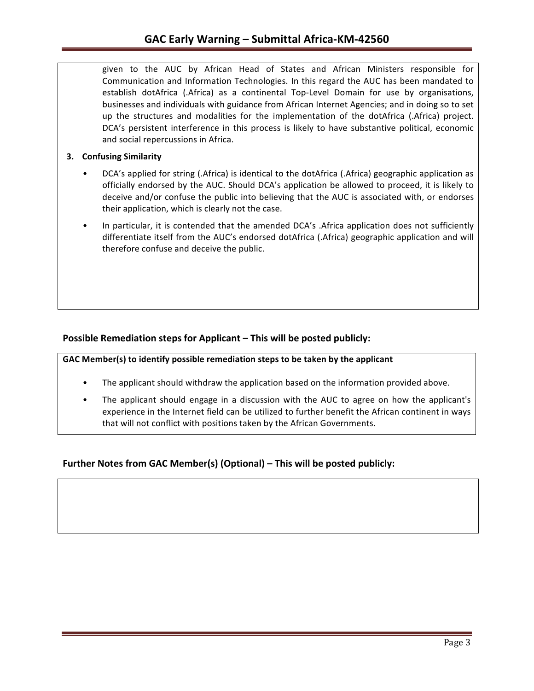given to the AUC by African Head of States and African Ministers responsible for Communication and Information Technologies. In this regard the AUC has been mandated to establish dotAfrica (.Africa) as a continental Top-Level Domain for use by organisations, businesses and individuals with guidance from African Internet Agencies; and in doing so to set up the structures and modalities for the implementation of the dotAfrica (.Africa) project. DCA's persistent interference in this process is likely to have substantive political, economic and social repercussions in Africa.

### **3. Confusing Similarity**

- DCA's applied for string (.Africa) is identical to the dotAfrica (.Africa) geographic application as officially endorsed by the AUC. Should DCA's application be allowed to proceed, it is likely to deceive and/or confuse the public into believing that the AUC is associated with, or endorses their application, which is clearly not the case.
- In particular, it is contended that the amended DCA's . Africa application does not sufficiently differentiate itself from the AUC's endorsed dotAfrica (.Africa) geographic application and will therefore confuse and deceive the public.

## **Possible Remediation steps for Applicant – This will be posted publicly:**

GAC Member(s) to identify possible remediation steps to be taken by the applicant

- The applicant should withdraw the application based on the information provided above.
- The applicant should engage in a discussion with the AUC to agree on how the applicant's experience in the Internet field can be utilized to further benefit the African continent in ways that will not conflict with positions taken by the African Governments.

## **Further Notes from GAC Member(s) (Optional) – This will be posted publicly:**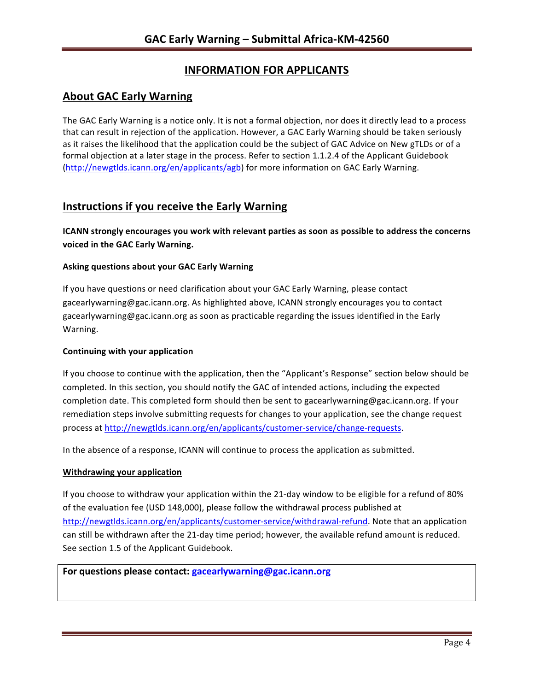# **INFORMATION FOR APPLICANTS**

# **About GAC Early Warning**

The GAC Early Warning is a notice only. It is not a formal objection, nor does it directly lead to a process that can result in rejection of the application. However, a GAC Early Warning should be taken seriously as it raises the likelihood that the application could be the subject of GAC Advice on New gTLDs or of a formal objection at a later stage in the process. Refer to section 1.1.2.4 of the Applicant Guidebook (http://newgtlds.icann.org/en/applicants/agb) for more information on GAC Early Warning.

# **Instructions if you receive the Early Warning**

**ICANN** strongly encourages you work with relevant parties as soon as possible to address the concerns **voiced in the GAC Early Warning.** 

### **Asking questions about your GAC Early Warning**

If you have questions or need clarification about your GAC Early Warning, please contact gacearlywarning@gac.icann.org. As highlighted above, ICANN strongly encourages you to contact gacearlywarning@gac.icann.org as soon as practicable regarding the issues identified in the Early Warning. 

### **Continuing with your application**

If you choose to continue with the application, then the "Applicant's Response" section below should be completed. In this section, you should notify the GAC of intended actions, including the expected completion date. This completed form should then be sent to gacearlywarning@gac.icann.org. If your remediation steps involve submitting requests for changes to your application, see the change request process at http://newgtlds.icann.org/en/applicants/customer-service/change-requests.

In the absence of a response, ICANN will continue to process the application as submitted.

### **Withdrawing your application**

If you choose to withdraw your application within the 21-day window to be eligible for a refund of 80% of the evaluation fee (USD 148,000), please follow the withdrawal process published at http://newgtlds.icann.org/en/applicants/customer-service/withdrawal-refund. Note that an application can still be withdrawn after the 21-day time period; however, the available refund amount is reduced. See section 1.5 of the Applicant Guidebook.

### For questions please contact: gacearlywarning@gac.icann.org